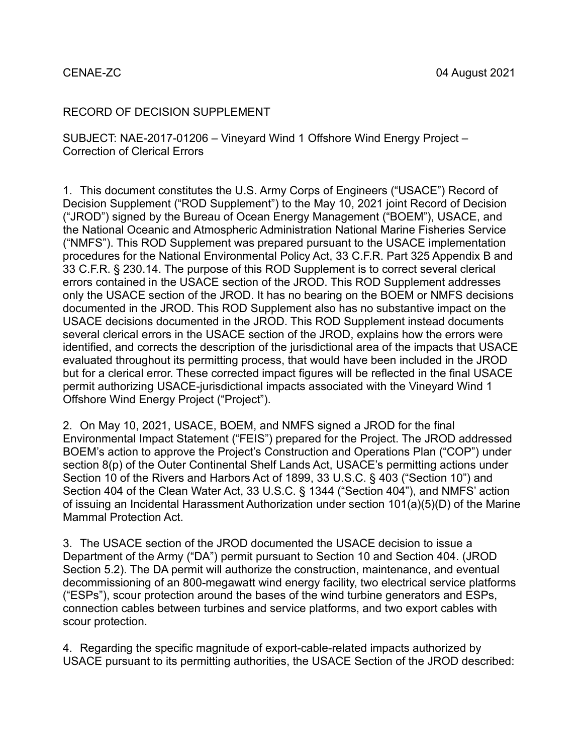## CENAE-ZC

## RECORD OF DECISION SUPPLEMENT

SUBJECT: NAE-2017-01206 – Vineyard Wind 1 Offshore Wind Energy Project – Correction of Clerical Errors

1. This document constitutes the U.S. Army Corps of Engineers ("USACE") Record of Decision Supplement ("ROD Supplement") to the May 10, 2021 joint Record of Decision ("JROD") signed by the Bureau of Ocean Energy Management ("BOEM"), USACE, and the National Oceanic and Atmospheric Administration National Marine Fisheries Service ("NMFS"). This ROD Supplement was prepared pursuant to the USACE implementation procedures for the National Environmental Policy Act, 33 C.F.R. Part 325 Appendix B and 33 C.F.R. § 230.14. The purpose of this ROD Supplement is to correct several clerical errors contained in the USACE section of the JROD. This ROD Supplement addresses only the USACE section of the JROD. It has no bearing on the BOEM or NMFS decisions documented in the JROD. This ROD Supplement also has no substantive impact on the USACE decisions documented in the JROD. This ROD Supplement instead documents several clerical errors in the USACE section of the JROD, explains how the errors were identified, and corrects the description of the jurisdictional area of the impacts that USACE evaluated throughout its permitting process, that would have been included in the JROD but for a clerical error. These corrected impact figures will be reflected in the final USACE permit authorizing USACE-jurisdictional impacts associated with the Vineyard Wind 1 Offshore Wind Energy Project ("Project").

2. On May 10, 2021, USACE, BOEM, and NMFS signed a JROD for the final Environmental Impact Statement ("FEIS") prepared for the Project. The JROD addressed BOEM's action to approve the Project's Construction and Operations Plan ("COP") under section 8(p) of the Outer Continental Shelf Lands Act, USACE's permitting actions under Section 10 of the Rivers and Harbors Act of 1899, 33 U.S.C. § 403 ("Section 10") and Section 404 of the Clean Water Act, 33 U.S.C. § 1344 ("Section 404"), and NMFS' action of issuing an Incidental Harassment Authorization under section 101(a)(5)(D) of the Marine Mammal Protection Act.

3. The USACE section of the JROD documented the USACE decision to issue a Department of the Army ("DA") permit pursuant to Section 10 and Section 404. (JROD Section 5.2). The DA permit will authorize the construction, maintenance, and eventual decommissioning of an 800-megawatt wind energy facility, two electrical service platforms ("ESPs"), scour protection around the bases of the wind turbine generators and ESPs, connection cables between turbines and service platforms, and two export cables with scour protection.

4. Regarding the specific magnitude of export-cable-related impacts authorized by USACE pursuant to its permitting authorities, the USACE Section of the JROD described: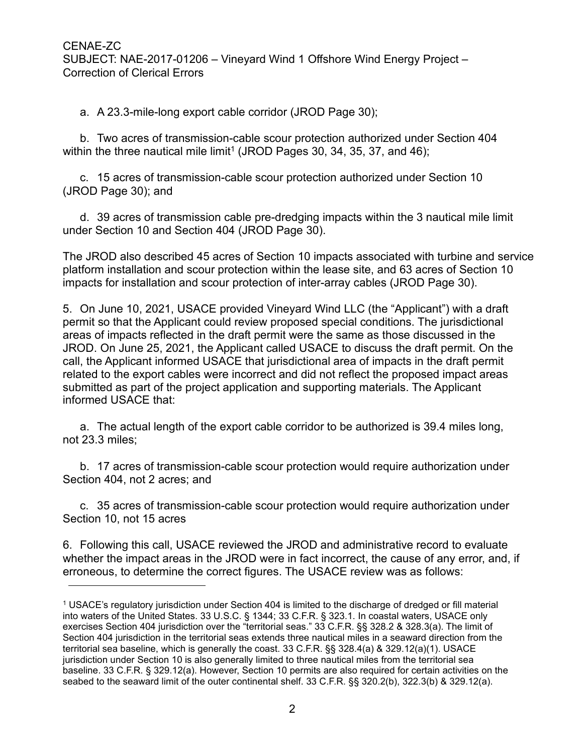a. A 23.3-mile-long export cable corridor (JROD Page 30);

b. Two acres of transmission-cable scour protection authorized under Section 404 within the three nautical mile limit<sup>1</sup> (JROD Pages 30, 34, 35, 37, and 46);

c. 15 acres of transmission-cable scour protection authorized under Section 10 (JROD Page 30); and

d. 39 acres of transmission cable pre-dredging impacts within the 3 nautical mile limit under Section 10 and Section 404 (JROD Page 30).

The JROD also described 45 acres of Section 10 impacts associated with turbine and service platform installation and scour protection within the lease site, and 63 acres of Section 10 impacts for installation and scour protection of inter-array cables (JROD Page 30).

5. On June 10, 2021, USACE provided Vineyard Wind LLC (the "Applicant") with a draft permit so that the Applicant could review proposed special conditions. The jurisdictional areas of impacts reflected in the draft permit were the same as those discussed in the JROD. On June 25, 2021, the Applicant called USACE to discuss the draft permit. On the call, the Applicant informed USACE that jurisdictional area of impacts in the draft permit related to the export cables were incorrect and did not reflect the proposed impact areas submitted as part of the project application and supporting materials. The Applicant informed USACE that:

a. The actual length of the export cable corridor to be authorized is 39.4 miles long, not 23.3 miles;

b. 17 acres of transmission-cable scour protection would require authorization under Section 404, not 2 acres; and

c. 35 acres of transmission-cable scour protection would require authorization under Section 10, not 15 acres

6. Following this call, USACE reviewed the JROD and administrative record to evaluate whether the impact areas in the JROD were in fact incorrect, the cause of any error, and, if erroneous, to determine the correct figures. The USACE review was as follows:

<span id="page-1-0"></span><sup>1</sup> USACE's regulatory jurisdiction under Section 404 is limited to the discharge of dredged or fill material into waters of the United States. 33 U.S.C. § 1344; 33 C.F.R. § 323.1. In coastal waters, USACE only exercises Section 404 jurisdiction over the "territorial seas." 33 C.F.R. §§ 328.2 & 328.3(a). The limit of Section 404 jurisdiction in the territorial seas extends three nautical miles in a seaward direction from the territorial sea baseline, which is generally the coast. 33 C.F.R. §§ 328.4(a) & 329.12(a)(1). USACE jurisdiction under Section 10 is also generally limited to three nautical miles from the territorial sea baseline. 33 C.F.R. § 329.12(a). However, Section 10 permits are also required for certain activities on the seabed to the seaward limit of the outer continental shelf. 33 C.F.R. §§ 320.2(b), 322.3(b) & 329.12(a).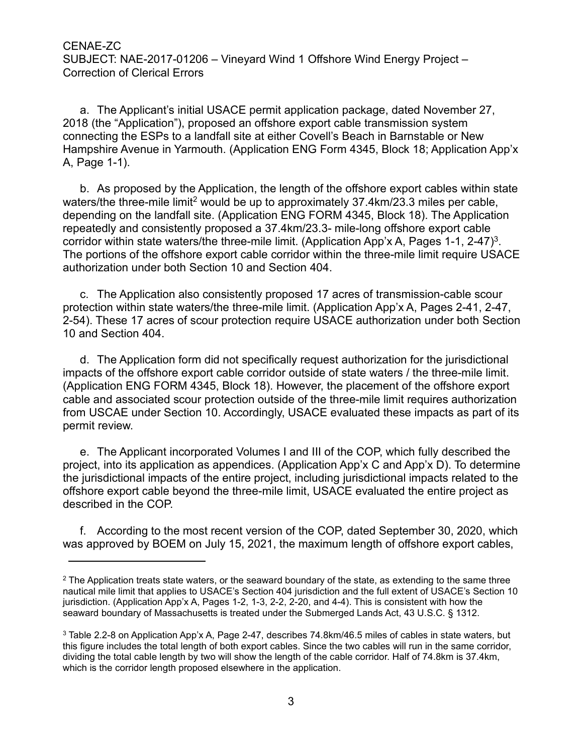a. The Applicant's initial USACE permit application package, dated November 27, 2018 (the "Application"), proposed an offshore export cable transmission system connecting the ESPs to a landfall site at either Covell's Beach in Barnstable or New Hampshire Avenue in Yarmouth. (Application ENG Form 4345, Block 18; Application App'x A, Page 1-1).

b. As proposed by the Application, the length of the offshore export cables within state waters/the three-mile limit<sup>2</sup> would be up to approximately  $37.4 \text{km}/23.3$  miles per cable, depending on the landfall site. (Application ENG FORM 4345, Block 18). The Application repeatedly and consistently proposed a 37.4km/23.3- mile-long offshore export cable corridor within state waters/the three-mile limit. (Application App'x A, Pages 1-1, 2-47)<sup>3</sup>. The portions of the offshore export cable corridor within the three-mile limit require USACE authorization under both Section 10 and Section 404.

c. The Application also consistently proposed 17 acres of transmission-cable scour protection within state waters/the three-mile limit. (Application App'x A, Pages 2-41, 2-47, 2-54). These 17 acres of scour protection require USACE authorization under both Section 10 and Section 404.

d. The Application form did not specifically request authorization for the jurisdictional impacts of the offshore export cable corridor outside of state waters / the three-mile limit. (Application ENG FORM 4345, Block 18). However, the placement of the offshore export cable and associated scour protection outside of the three-mile limit requires authorization from USCAE under Section 10. Accordingly, USACE evaluated these impacts as part of its permit review.

e. The Applicant incorporated Volumes I and III of the COP, which fully described the project, into its application as appendices. (Application App'x C and App'x D). To determine the jurisdictional impacts of the entire project, including jurisdictional impacts related to the offshore export cable beyond the three-mile limit, USACE evaluated the entire project as described in the COP.

f. According to the most recent version of the COP, dated September 30, 2020, which was approved by BOEM on July 15, 2021, the maximum length of offshore export cables,

<span id="page-2-0"></span><sup>&</sup>lt;sup>2</sup> The Application treats state waters, or the seaward boundary of the state, as extending to the same three nautical mile limit that applies to USACE's Section 404 jurisdiction and the full extent of USACE's Section 10 jurisdiction. (Application App'x A, Pages 1-2, 1-3, 2-2, 2-20, and 4-4). This is consistent with how the seaward boundary of Massachusetts is treated under the Submerged Lands Act, 43 U.S.C. § 1312.

<span id="page-2-1"></span><sup>3</sup> Table 2.2-8 on Application App'x A, Page 2-47, describes 74.8km/46.5 miles of cables in state waters, but this figure includes the total length of both export cables. Since the two cables will run in the same corridor, dividing the total cable length by two will show the length of the cable corridor. Half of 74.8km is 37.4km, which is the corridor length proposed elsewhere in the application.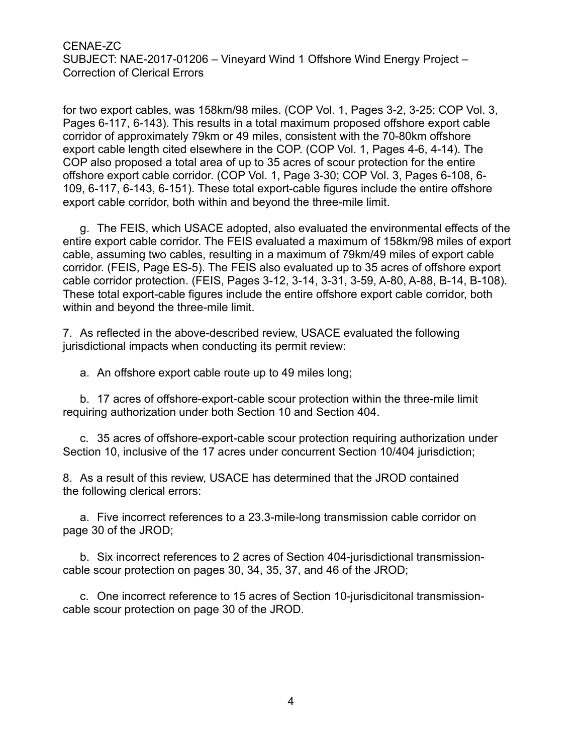for two export cables, was 158km/98 miles. (COP Vol. 1, Pages 3-2, 3-25; COP Vol. 3, Pages 6-117, 6-143). This results in a total maximum proposed offshore export cable corridor of approximately 79km or 49 miles, consistent with the 70-80km offshore export cable length cited elsewhere in the COP. (COP Vol. 1, Pages 4-6, 4-14). The COP also proposed a total area of up to 35 acres of scour protection for the entire offshore export cable corridor. (COP Vol. 1, Page 3-30; COP Vol. 3, Pages 6-108, 6- 109, 6-117, 6-143, 6-151). These total export-cable figures include the entire offshore export cable corridor, both within and beyond the three-mile limit.

g. The FEIS, which USACE adopted, also evaluated the environmental effects of the entire export cable corridor. The FEIS evaluated a maximum of 158km/98 miles of export cable, assuming two cables, resulting in a maximum of 79km/49 miles of export cable corridor. (FEIS, Page ES-5). The FEIS also evaluated up to 35 acres of offshore export cable corridor protection. (FEIS, Pages 3-12, 3-14, 3-31, 3-59, A-80, A-88, B-14, B-108). These total export-cable figures include the entire offshore export cable corridor, both within and beyond the three-mile limit.

7. As reflected in the above-described review, USACE evaluated the following jurisdictional impacts when conducting its permit review:

a. An offshore export cable route up to 49 miles long;

b. 17 acres of offshore-export-cable scour protection within the three-mile limit requiring authorization under both Section 10 and Section 404.

c. 35 acres of offshore-export-cable scour protection requiring authorization under Section 10, inclusive of the 17 acres under concurrent Section 10/404 jurisdiction;

8. As a result of this review, USACE has determined that the JROD contained the following clerical errors:

a. Five incorrect references to a 23.3-mile-long transmission cable corridor on page 30 of the JROD;

b. Six incorrect references to 2 acres of Section 404-jurisdictional transmissioncable scour protection on pages 30, 34, 35, 37, and 46 of the JROD;

c. One incorrect reference to 15 acres of Section 10-jurisdicitonal transmissioncable scour protection on page 30 of the JROD.